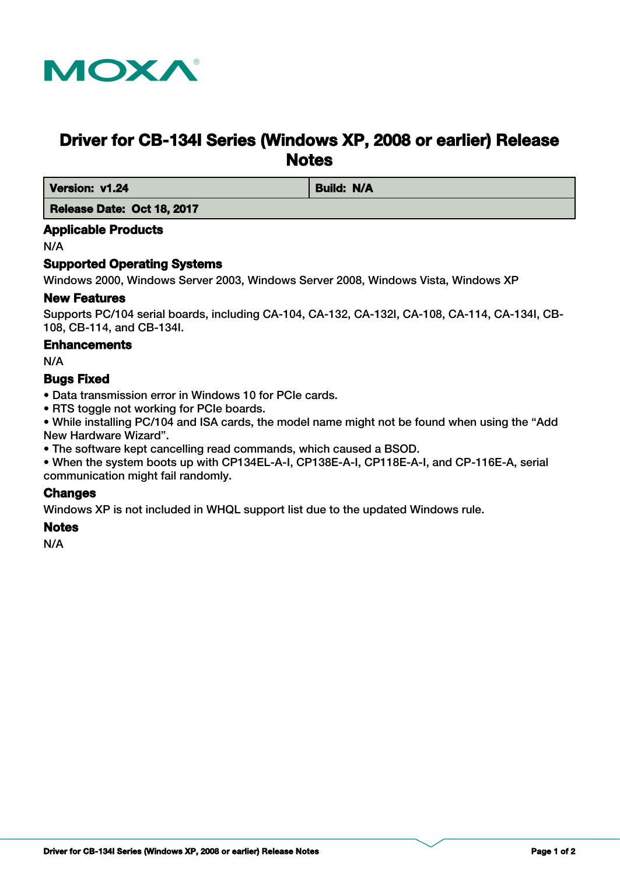

# **Driver for CB-134I Series (Windows XP, 2008 or earlier) Release Notes**

*Version: v1.24* **Build: N/A** 

 **Release Date: Oct 18, 2017**

#### **Applicable Products**

N/A

## **Supported Operating Systems**

Windows 2000, Windows Server 2003, Windows Server 2008, Windows Vista, Windows XP

#### **New Features**

Supports PC/104 serial boards, including CA-104, CA-132, CA-132I, CA-108, CA-114, CA-134I, CB-108, CB-114, and CB-134I.

#### **Enhancements**

N/A

#### **Bugs Fixed**

- Data transmission error in Windows 10 for PCIe cards.
- RTS toggle not working for PCIe boards.

• While installing PC/104 and ISA cards, the model name might not be found when using the "Add New Hardware Wizard".

• The software kept cancelling read commands, which caused a BSOD.

• When the system boots up with CP134EL-A-I, CP138E-A-I, CP118E-A-I, and CP-116E-A, serial communication might fail randomly.

## **Changes**

Windows XP is not included in WHQL support list due to the updated Windows rule.

#### **Notes**

N/A